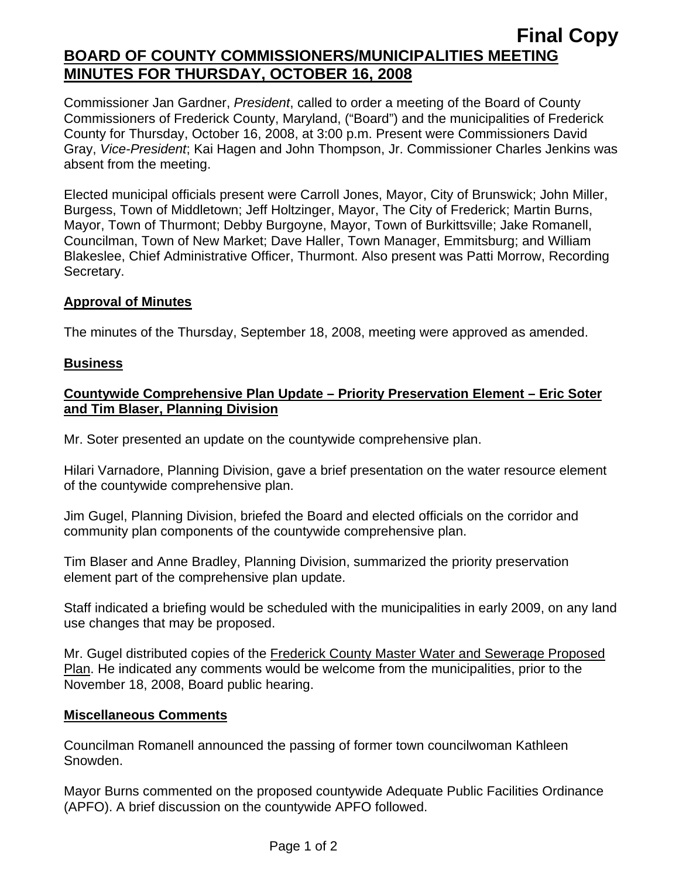# **Final Copy BOARD OF COUNTY COMMISSIONERS/MUNICIPALITIES MEETING MINUTES FOR THURSDAY, OCTOBER 16, 2008**

Commissioner Jan Gardner, *President*, called to order a meeting of the Board of County Commissioners of Frederick County, Maryland, ("Board") and the municipalities of Frederick County for Thursday, October 16, 2008, at 3:00 p.m. Present were Commissioners David Gray, *Vice-President*; Kai Hagen and John Thompson, Jr. Commissioner Charles Jenkins was absent from the meeting.

Elected municipal officials present were Carroll Jones, Mayor, City of Brunswick; John Miller, Burgess, Town of Middletown; Jeff Holtzinger, Mayor, The City of Frederick; Martin Burns, Mayor, Town of Thurmont; Debby Burgoyne, Mayor, Town of Burkittsville; Jake Romanell, Councilman, Town of New Market; Dave Haller, Town Manager, Emmitsburg; and William Blakeslee, Chief Administrative Officer, Thurmont. Also present was Patti Morrow, Recording Secretary.

### **Approval of Minutes**

The minutes of the Thursday, September 18, 2008, meeting were approved as amended.

#### **Business**

### **Countywide Comprehensive Plan Update – Priority Preservation Element – Eric Soter and Tim Blaser, Planning Division**

Mr. Soter presented an update on the countywide comprehensive plan.

Hilari Varnadore, Planning Division, gave a brief presentation on the water resource element of the countywide comprehensive plan.

Jim Gugel, Planning Division, briefed the Board and elected officials on the corridor and community plan components of the countywide comprehensive plan.

Tim Blaser and Anne Bradley, Planning Division, summarized the priority preservation element part of the comprehensive plan update.

Staff indicated a briefing would be scheduled with the municipalities in early 2009, on any land use changes that may be proposed.

Mr. Gugel distributed copies of the Frederick County Master Water and Sewerage Proposed Plan. He indicated any comments would be welcome from the municipalities, prior to the November 18, 2008, Board public hearing.

#### **Miscellaneous Comments**

Councilman Romanell announced the passing of former town councilwoman Kathleen Snowden.

Mayor Burns commented on the proposed countywide Adequate Public Facilities Ordinance (APFO). A brief discussion on the countywide APFO followed.